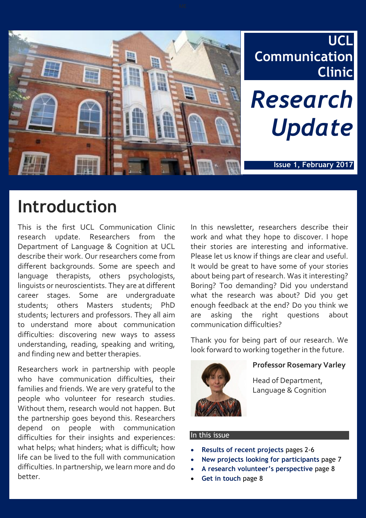

# **Introduction**

This is the first UCL Communication Clinic research update. Researchers from the Department of Language & Cognition at UCL describe their work. Our researchers come from different backgrounds. Some are speech and language therapists, others psychologists, linguists or neuroscientists. They are at different career stages. Some are undergraduate students; others Masters students; PhD students; lecturers and professors. They all aim to understand more about communication difficulties: discovering new ways to assess understanding, reading, speaking and writing, and finding new and better therapies.

Researchers work in partnership with people who have communication difficulties, their families and friends. We are very grateful to the people who volunteer for research studies. Without them, research would not happen. But the partnership goes beyond this. Researchers depend on people with communication difficulties for their insights and experiences: what helps; what hinders; what is difficult; how life can be lived to the full with communication difficulties. In partnership, we learn more and do better.

In this newsletter, researchers describe their work and what they hope to discover. I hope their stories are interesting and informative. Please let us know if things are clear and useful. It would be great to have some of your stories about being part of research. Was it interesting? Boring? Too demanding? Did you understand what the research was about? Did you get enough feedback at the end? Do you think we are asking the right questions about communication difficulties?

Thank you for being part of our research. We look forward to working together in the future.



#### **Professor Rosemary Varley**

Head of Department, Language & Cognition

#### In this issue

- **Results of recent projects** pages 2-6
- **New projects looking for participants** page 7
- **A research volunteer's perspective** page 8
- **Get in touch** page 8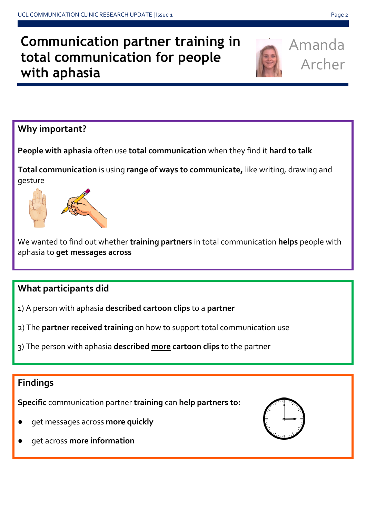### **Communication partner training in total communication for people with aphasia**



Amanda Archer

#### **Why important?**

**People with aphasia** often use **total communication** when they find it **hard to talk**

**Total communication** is using **range of ways to communicate,** like writing, drawing and gesture



We wanted to find out whether **training partners** in total communication **helps** people with aphasia to **get messages across**

#### **What participants did**

- 1) A person with aphasia **described cartoon clips** to a **partner**
- 2) The **partner received training** on how to support total communication use
- 3) The person with aphasia **described more cartoon clips** to the partner

### **Findings**

**Specific** communication partner **training** can **help partners to:**

- get messages across more quickly
- get across more information

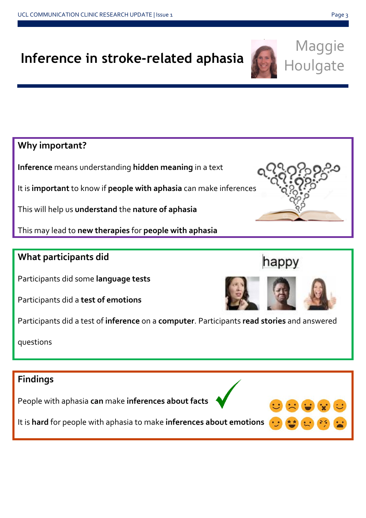## **Inference in stroke-related aphasia**

**Why important?**

**Inference** means understanding **hidden meaning** in a text

It is **important** to know if **people with aphasia** can make inferences

This will help us **understand** the **nature of aphasia**

This may lead to **new therapies** for **people with aphasia**

#### **What participants did**

Participants did some **language tests**

Participants did a **test of emotions**

Participants did a test of **inference** on a **computer**. Participants **read stories** and answered

questions

### **Findings**

People with aphasia **can** make **inferences about facts**

It is **hard** for people with aphasia to make **inferences about emotions**



Maggie

Houlgate



happy



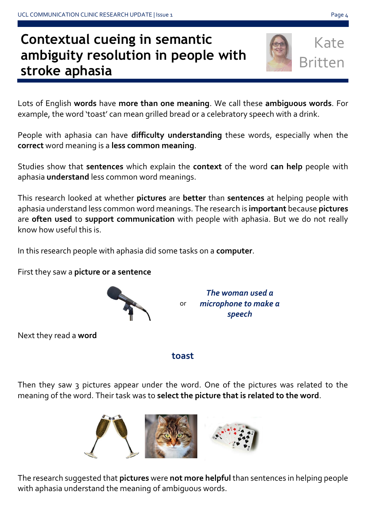## **Contextual cueing in semantic ambiguity resolution in people with stroke aphasia**

Lots of English **words** have **more than one meaning**. We call these **ambiguous words**. For example, the word 'toast' can mean grilled bread or a celebratory speech with a drink.

People with aphasia can have **difficulty understanding** these words, especially when the **correct** word meaning is a **less common meaning**.

Studies show that **sentences** which explain the **context** of the word **can help** people with aphasia **understand** less common word meanings.

This research looked at whether **pictures** are **better** than **sentences** at helping people with aphasia understand less common word meanings. The research is **important** because **pictures** are **often used** to **support communication** with people with aphasia. But we do not really know how useful this is.

In this research people with aphasia did some tasks on a **computer**.

First they saw a **picture or a sentence**

or *The woman used a microphone to make a speech*

Next they read a **word**

 *toast* **toast** 

Then they saw 3 pictures appear under the word. One of the pictures was related to the meaning of the word. Their task was to **select the picture that is related to the word**.

The research suggested that **pictures** were **not more helpful** than sentences in helping people with aphasia understand the meaning of ambiguous words.





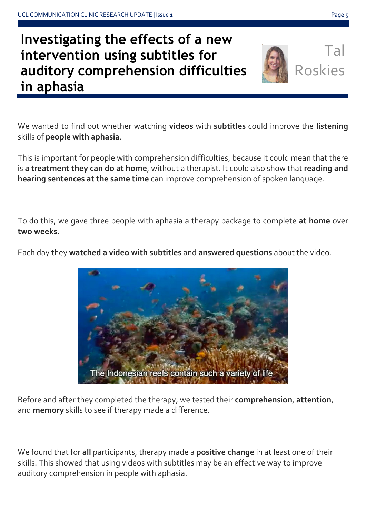## **Investigating the effects of a new intervention using subtitles for auditory comprehension difficulties in aphasia**

Tal Roskies

We wanted to find out whether watching **videos** with **subtitles** could improve the **listening** skills of **people with aphasia**.

This is important for people with comprehension difficulties, because it could mean that there is **a treatment they can do at home**, without a therapist. It could also show that **reading and hearing sentences at the same time** can improve comprehension of spoken language.

To do this, we gave three people with aphasia a therapy package to complete **at home** over **two weeks**.

Each day they **watched a video with subtitles** and **answered questions** about the video.

Before and after they completed the therapy, we tested their **comprehension**, **attention**, and **memory** skills to see if therapy made a difference.

We found that for **all** participants, therapy made a **positive change** in at least one of their skills. This showed that using videos with subtitles may be an effective way to improve auditory comprehension in people with aphasia.

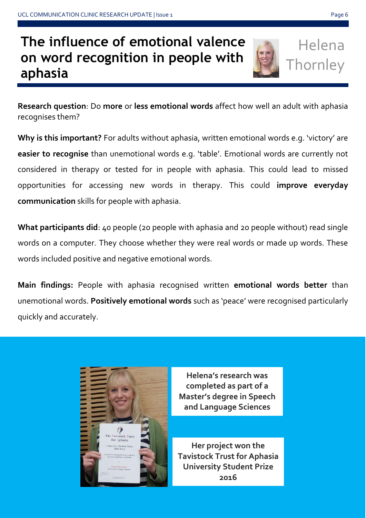## **The influence of emotional valence on word recognition in people with aphasia**



Helena **Thornley** 

**Research question**: Do **more** or **less emotional words** affect how well an adult with aphasia recognises them?

**Why is this important?** For adults without aphasia, written emotional words e.g. 'victory' are **easier to recognise** than unemotional words e.g. 'table'. Emotional words are currently not considered in therapy or tested for in people with aphasia. This could lead to missed opportunities for accessing new words in therapy. This could **improve everyday communication** skills for people with aphasia.

**What participants did**: 40 people (20 people with aphasia and 20 people without) read single words on a computer. They choose whether they were real words or made up words. These words included positive and negative emotional words.

**Main findings:** People with aphasia recognised written **emotional words better** than unemotional words. **Positively emotional words** such as 'peace' were recognised particularly quickly and accurately.



**Helena's research was completed as part of a Master's degree in Speech and Language Sciences**

**Her project won the Tavistock Trust for Aphasia University Student Prize 2016**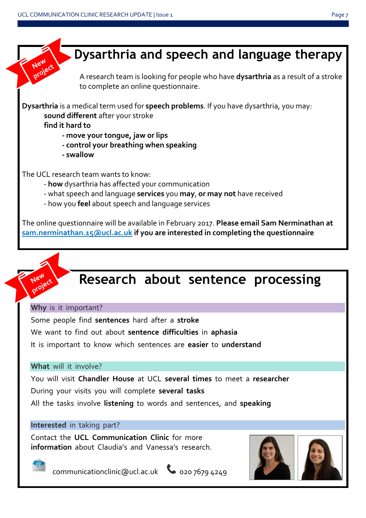![](_page_6_Picture_2.jpeg)

![](_page_6_Picture_3.jpeg)

## **Research about sentence processing**

**Why** is it important?

Some people find **sentences** hard after a **stroke** We want to find out about **sentence difficulties** in **aphasia** It is important to know which sentences are **easier** to **understand**

#### **What** will it involve?

You will visit **Chandler House** at UCL **several times** to meet a **researcher** During your visits you will complete **several tasks**

All the tasks involve **listening** to words and sentences, and **speaking**

#### **Interested** in taking part?

Contact the **UCL Communication Clinic** for more **information** about Claudia's and Vanessa's research.

![](_page_6_Picture_12.jpeg)

![](_page_6_Picture_13.jpeg)